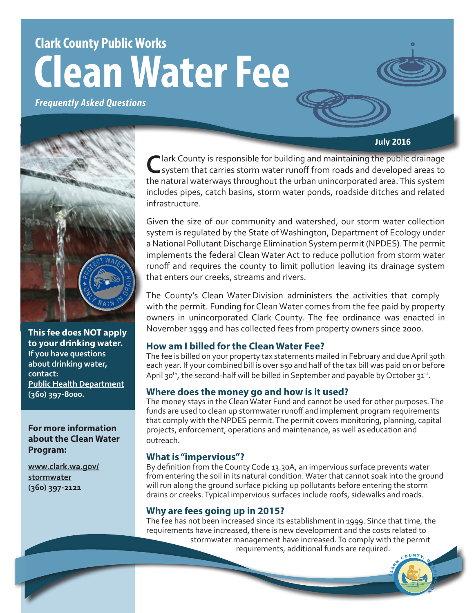# **Clark County Public Works Clean Water Fee**

*Frequently Asked Questions*





**This fee does NOT apply to your drinking water. If you have questions about drinking water, contact: [Public Health Department](http://www.clark.wa.gov/public-health/water/index.html) (360) 397-8000.**

# **For more information about the Clean Water Program:**

**[www.clark.wa.gov/](www.clark.wa.gov/stormwater) [stormwater](www.clark.wa.gov/stormwater) (360) 397-2121**

**Nark County is responsible for building and maintaining the public drainage** system that carries storm water runoff from roads and developed areas to the natural waterways throughout the urban unincorporated area. This system includes pipes, catch basins, storm water ponds, roadside ditches and related infrastructure.

Given the size of our community and watershed, our storm water collection system is regulated by the State of Washington, Department of Ecology under a National Pollutant Discharge Elimination System permit (NPDES). The permit implements the federal Clean Water Act to reduce pollution from storm water runoff and requires the county to limit pollution leaving its drainage system that enters our creeks, streams and rivers.

The County's Clean Water Division administers the activities that comply with the permit. Funding for Clean Water comes from the fee paid by property owners in unincorporated Clark County. The fee ordinance was enacted in November 1999 and has collected fees from property owners since 2000.

# **How am I billed for the Clean Water Fee?**

The fee is billed on your property tax statements mailed in February and due April 30th each year. If your combined bill is over \$50 and half of the tax bill was paid on or before April 30<sup>th</sup>, the second-half will be billed in September and payable by October 31st.

# **Where does the money go and how is it used?**

The money stays in the Clean Water Fund and cannot be used for other purposes. The funds are used to clean up stormwater runoff and implement program requirements that comply with the NPDES permit. The permit covers monitoring, planning, capital projects, enforcement, operations and maintenance, as well as education and outreach.

# **What is "impervious"?**

By definition from the County Code 13.30A, an impervious surface prevents water from entering the soil in its natural condition. Water that cannot soak into the ground will run along the ground surface picking up pollutants before entering the storm drains or creeks. Typical impervious surfaces include roofs, sidewalks and roads.

# **Why are fees going up in 2015?**

The fee has not been increased since its establishment in 1999. Since that time, the requirements have increased, there is new development and the costs related to stormwater management have increased. To comply with the permit requirements, additional funds are required.